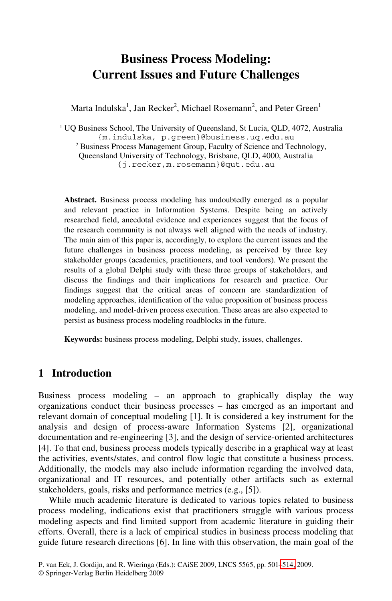# **Business Process Modeling: Current Issues and Future Challenges**

Marta Indulska $^1$ , Jan Recker $^2$ , Michael Rosemann $^2$ , and Peter Green $^1$ 

<sup>1</sup> UQ Business School, The University of Queensland, St Lucia, QLD, 4072, Australia {m.indulska, p.green}@business.uq.edu.au 2 Business Process Management Group, Faculty of Science and Technology, Queensland University of Technology, Brisbane, QLD, 4000, Australia {j.recker,m.rosemann}@qut.edu.au

**Abstract.** Business process modeling has undoubtedly emerged as a popular and relevant practice in Information Systems. Despite being an actively researched field, anecdotal evidence and experiences suggest that the focus of the research community is not always well aligned with the needs of industry. The main aim of this paper is, accordingly, to explore the current issues and the future challenges in business process modeling, as perceived by three key stakeholder groups (academics, practitioners, and tool vendors). We present the results of a global Delphi study with these three groups of stakeholders, and discuss the findings and their implications for research and practice. Our findings suggest that the critical areas of concern are standardization of modeling approaches, identification of the value proposition of business process modeling, and model-driven process execution. These areas are also expected to persist as business process modeling roadblocks in the future.

**Keywords:** business process modeling, Delphi study, issues, challenges.

#### **1 Introduction**

Business process modeling – an approach to graphically display the way organizations conduct their business processes – has emerged as an important and relevant domain of conceptual modeling [1]. It is considered a key instrument for the analysis and design of process-aware Information Systems [2], organizational documentation and re-engineering [3], and the design of service-oriented architectures [4]. To that end, business process models typically describe in a graphical way at least the activities, events/states, and control flow logic that constitute a business process. Additionally, the models may also include information regarding the involved data, organizational and IT resources, and potentially other artifacts such as external stakeholders, goals, risks and performance metrics (e.g., [5]).

While much academic literature is dedicated to various topics related to business process modeling, indications exist that practitioners struggle with various process modeling aspects and find limited support from academic literature in guiding their efforts. Overall, there is a lack of empirical studies in business process modeling that guide future research directions [6]. In line with this observation, the main goal of the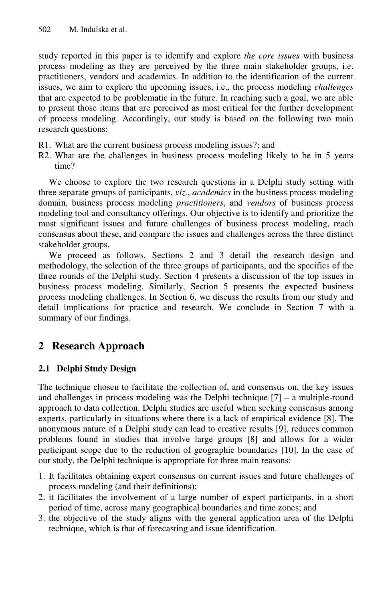study reported in this paper is to identify and explore *the core issues* with business process modeling as they are perceived by the three main stakeholder groups, i.e. practitioners, vendors and academics. In addition to the identification of the current issues, we aim to explore the upcoming issues, i.e., the process modeling *challenges* that are expected to be problematic in the future. In reaching such a goal, we are able to present those items that are perceived as most critical for the further development of process modeling. Accordingly, our study is based on the following two main research questions:

- R1. What are the current business process modeling issues?; and
- R2. What are the challenges in business process modeling likely to be in 5 years time?

We choose to explore the two research questions in a Delphi study setting with three separate groups of participants, *viz.*, *academics* in the business process modeling domain, business process modeling *practitioners*, and *vendors* of business process modeling tool and consultancy offerings. Our objective is to identify and prioritize the most significant issues and future challenges of business process modeling, reach consensus about these, and compare the issues and challenges across the three distinct stakeholder groups.

We proceed as follows. Sections 2 and 3 detail the research design and methodology, the selection of the three groups of participants, and the specifics of the three rounds of the Delphi study. Section 4 presents a discussion of the top issues in business process modeling. Similarly, Section 5 presents the expected business process modeling challenges. In Section 6, we discuss the results from our study and detail implications for practice and research. We conclude in Section 7 with a summary of our findings.

## **2 Research Approach**

#### **2.1 Delphi Study Design**

The technique chosen to facilitate the collection of, and consensus on, the key issues and challenges in process modeling was the Delphi technique [7] – a multiple-round approach to data collection. Delphi studies are useful when seeking consensus among experts, particularly in situations where there is a lack of empirical evidence [8]. The anonymous nature of a Delphi study can lead to creative results [9], reduces common problems found in studies that involve large groups [8] and allows for a wider participant scope due to the reduction of geographic boundaries [10]. In the case of our study, the Delphi technique is appropriate for three main reasons:

- 1. It facilitates obtaining expert consensus on current issues and future challenges of process modeling (and their definitions);
- 2. it facilitates the involvement of a large number of expert participants, in a short period of time, across many geographical boundaries and time zones; and
- 3. the objective of the study aligns with the general application area of the Delphi technique, which is that of forecasting and issue identification.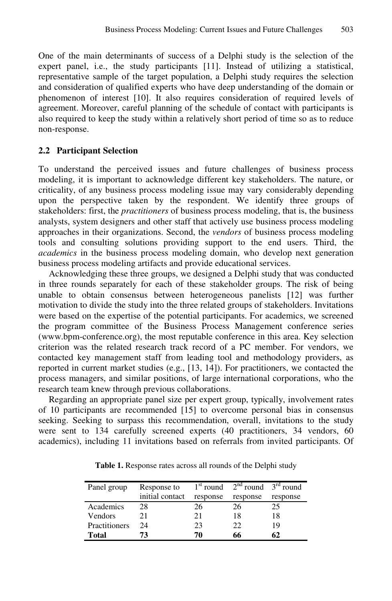One of the main determinants of success of a Delphi study is the selection of the expert panel, i.e., the study participants [11]. Instead of utilizing a statistical, representative sample of the target population, a Delphi study requires the selection and consideration of qualified experts who have deep understanding of the domain or phenomenon of interest [10]. It also requires consideration of required levels of agreement. Moreover, careful planning of the schedule of contact with participants is also required to keep the study within a relatively short period of time so as to reduce non-response.

#### **2.2 Participant Selection**

To understand the perceived issues and future challenges of business process modeling, it is important to acknowledge different key stakeholders. The nature, or criticality, of any business process modeling issue may vary considerably depending upon the perspective taken by the respondent. We identify three groups of stakeholders: first, the *practitioners* of business process modeling, that is, the business analysts, system designers and other staff that actively use business process modeling approaches in their organizations. Second, the *vendors* of business process modeling tools and consulting solutions providing support to the end users. Third, the *academics* in the business process modeling domain, who develop next generation business process modeling artifacts and provide educational services.

Acknowledging these three groups, we designed a Delphi study that was conducted in three rounds separately for each of these stakeholder groups. The risk of being unable to obtain consensus between heterogeneous panelists [12] was further motivation to divide the study into the three related groups of stakeholders. Invitations were based on the expertise of the potential participants. For academics, we screened the program committee of the Business Process Management conference series (www.bpm-conference.org), the most reputable conference in this area. Key selection criterion was the related research track record of a PC member. For vendors, we contacted key management staff from leading tool and methodology providers, as reported in current market studies (e.g.,  $[13, 14]$ ). For practitioners, we contacted the process managers, and similar positions, of large international corporations, who the research team knew through previous collaborations.

Regarding an appropriate panel size per expert group, typically, involvement rates of 10 participants are recommended [15] to overcome personal bias in consensus seeking. Seeking to surpass this recommendation, overall, invitations to the study were sent to 134 carefully screened experts (40 practitioners, 34 vendors, 60 academics), including 11 invitations based on referrals from invited participants. Of

| Panel group   | Response to     | $1st$ round | $2nd$ round $3rd$ round |          |
|---------------|-----------------|-------------|-------------------------|----------|
|               | initial contact | response    | response                | response |
| Academics     | 28              | 26          | 26                      | 25       |
| Vendors       | 21              | 21          | 18                      | 18       |
| Practitioners | 24              | 23          | 22                      | 19       |
| Total         | 73              | 70          | 66                      | 62       |

**Table 1.** Response rates across all rounds of the Delphi study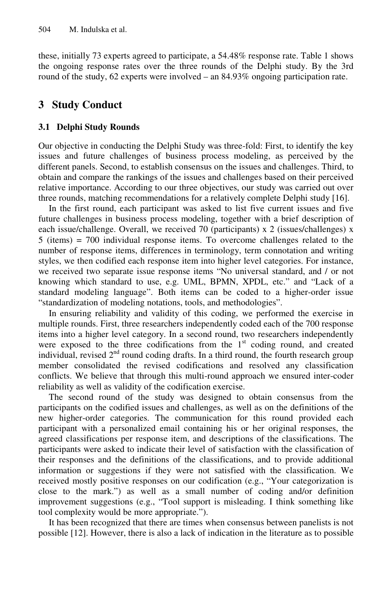these, initially 73 experts agreed to participate, a 54.48% response rate. Table 1 shows the ongoing response rates over the three rounds of the Delphi study. By the 3rd round of the study, 62 experts were involved – an 84.93% ongoing participation rate.

## **3 Study Conduct**

#### **3.1 Delphi Study Rounds**

Our objective in conducting the Delphi Study was three-fold: First, to identify the key issues and future challenges of business process modeling, as perceived by the different panels. Second, to establish consensus on the issues and challenges. Third, to obtain and compare the rankings of the issues and challenges based on their perceived relative importance. According to our three objectives, our study was carried out over three rounds, matching recommendations for a relatively complete Delphi study [16].

In the first round, each participant was asked to list five current issues and five future challenges in business process modeling, together with a brief description of each issue/challenge. Overall, we received 70 (participants) x 2 (issues/challenges) x 5 (items) = 700 individual response items. To overcome challenges related to the number of response items, differences in terminology, term connotation and writing styles, we then codified each response item into higher level categories. For instance, we received two separate issue response items "No universal standard, and / or not knowing which standard to use, e.g. UML, BPMN, XPDL, etc." and "Lack of a standard modeling language". Both items can be coded to a higher-order issue "standardization of modeling notations, tools, and methodologies".

In ensuring reliability and validity of this coding, we performed the exercise in multiple rounds. First, three researchers independently coded each of the 700 response items into a higher level category. In a second round, two researchers independently were exposed to the three codifications from the  $1<sup>st</sup>$  coding round, and created individual, revised  $2<sup>nd</sup>$  round coding drafts. In a third round, the fourth research group member consolidated the revised codifications and resolved any classification conflicts. We believe that through this multi-round approach we ensured inter-coder reliability as well as validity of the codification exercise.

The second round of the study was designed to obtain consensus from the participants on the codified issues and challenges, as well as on the definitions of the new higher-order categories. The communication for this round provided each participant with a personalized email containing his or her original responses, the agreed classifications per response item, and descriptions of the classifications. The participants were asked to indicate their level of satisfaction with the classification of their responses and the definitions of the classifications, and to provide additional information or suggestions if they were not satisfied with the classification. We received mostly positive responses on our codification (e.g., "Your categorization is close to the mark.") as well as a small number of coding and/or definition improvement suggestions (e.g., "Tool support is misleading. I think something like tool complexity would be more appropriate.").

It has been recognized that there are times when consensus between panelists is not possible [12]. However, there is also a lack of indication in the literature as to possible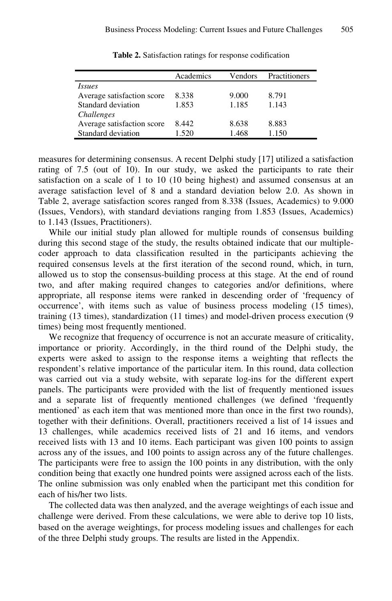|                            | Academics | Vendors | Practitioners |
|----------------------------|-----------|---------|---------------|
| <i>Issues</i>              |           |         |               |
| Average satisfaction score | 8.338     | 9.000   | 8.791         |
| Standard deviation         | 1.853     | 1.185   | 1.143         |
| Challenges                 |           |         |               |
| Average satisfaction score | 8.442     | 8.638   | 8.883         |
| Standard deviation         | 1.520     | 1.468   | 1.150         |

**Table 2.** Satisfaction ratings for response codification

measures for determining consensus. A recent Delphi study [17] utilized a satisfaction rating of 7.5 (out of 10). In our study, we asked the participants to rate their satisfaction on a scale of 1 to 10 (10 being highest) and assumed consensus at an average satisfaction level of 8 and a standard deviation below 2.0. As shown in Table 2, average satisfaction scores ranged from 8.338 (Issues, Academics) to 9.000 (Issues, Vendors), with standard deviations ranging from 1.853 (Issues, Academics) to 1.143 (Issues, Practitioners).

While our initial study plan allowed for multiple rounds of consensus building during this second stage of the study, the results obtained indicate that our multiplecoder approach to data classification resulted in the participants achieving the required consensus levels at the first iteration of the second round, which, in turn, allowed us to stop the consensus-building process at this stage. At the end of round two, and after making required changes to categories and/or definitions, where appropriate, all response items were ranked in descending order of 'frequency of occurrence', with items such as value of business process modeling (15 times), training (13 times), standardization (11 times) and model-driven process execution (9 times) being most frequently mentioned.

We recognize that frequency of occurrence is not an accurate measure of criticality, importance or priority. Accordingly, in the third round of the Delphi study, the experts were asked to assign to the response items a weighting that reflects the respondent's relative importance of the particular item. In this round, data collection was carried out via a study website, with separate log-ins for the different expert panels. The participants were provided with the list of frequently mentioned issues and a separate list of frequently mentioned challenges (we defined 'frequently mentioned' as each item that was mentioned more than once in the first two rounds), together with their definitions. Overall, practitioners received a list of 14 issues and 13 challenges, while academics received lists of 21 and 16 items, and vendors received lists with 13 and 10 items. Each participant was given 100 points to assign across any of the issues, and 100 points to assign across any of the future challenges. The participants were free to assign the 100 points in any distribution, with the only condition being that exactly one hundred points were assigned across each of the lists. The online submission was only enabled when the participant met this condition for each of his/her two lists.

The collected data was then analyzed, and the average weightings of each issue and challenge were derived. From these calculations, we were able to derive top 10 lists, based on the average weightings, for process modeling issues and challenges for each of the three Delphi study groups. The results are listed in the Appendix.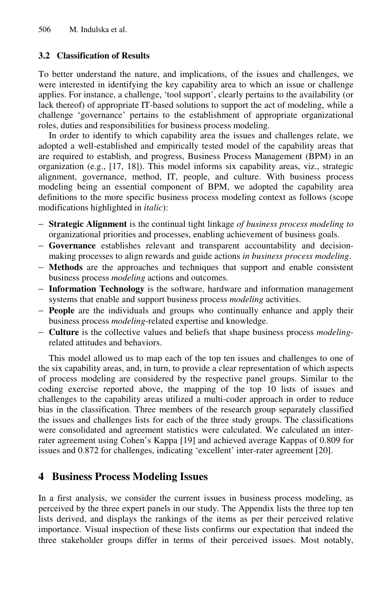#### **3.2 Classification of Results**

To better understand the nature, and implications, of the issues and challenges, we were interested in identifying the key capability area to which an issue or challenge applies. For instance, a challenge, 'tool support', clearly pertains to the availability (or lack thereof) of appropriate IT-based solutions to support the act of modeling, while a challenge 'governance' pertains to the establishment of appropriate organizational roles, duties and responsibilities for business process modeling.

In order to identify to which capability area the issues and challenges relate, we adopted a well-established and empirically tested model of the capability areas that are required to establish, and progress, Business Process Management (BPM) in an organization (e.g., [17, 18]). This model informs six capability areas, viz., strategic alignment, governance, method, IT, people, and culture. With business process modeling being an essential component of BPM, we adopted the capability area definitions to the more specific business process modeling context as follows (scope modifications highlighted in *italic*):

- − **Strategic Alignment** is the continual tight linkage *of business process modeling to* organizational priorities and processes, enabling achievement of business goals.
- − **Governance** establishes relevant and transparent accountability and decisionmaking processes to align rewards and guide actions *in business process modeling*.
- − **Methods** are the approaches and techniques that support and enable consistent business process *modeling* actions and outcomes.
- − **Information Technology** is the software, hardware and information management systems that enable and support business process *modeling* activities.
- − **People** are the individuals and groups who continually enhance and apply their business process *modeling*-related expertise and knowledge.
- − **Culture** is the collective values and beliefs that shape business process *modeling*related attitudes and behaviors.

This model allowed us to map each of the top ten issues and challenges to one of the six capability areas, and, in turn, to provide a clear representation of which aspects of process modeling are considered by the respective panel groups. Similar to the coding exercise reported above, the mapping of the top 10 lists of issues and challenges to the capability areas utilized a multi-coder approach in order to reduce bias in the classification. Three members of the research group separately classified the issues and challenges lists for each of the three study groups. The classifications were consolidated and agreement statistics were calculated. We calculated an interrater agreement using Cohen's Kappa [19] and achieved average Kappas of 0.809 for issues and 0.872 for challenges, indicating 'excellent' inter-rater agreement [20].

## **4 Business Process Modeling Issues**

In a first analysis, we consider the current issues in business process modeling, as perceived by the three expert panels in our study. The Appendix lists the three top ten lists derived, and displays the rankings of the items as per their perceived relative importance. Visual inspection of these lists confirms our expectation that indeed the three stakeholder groups differ in terms of their perceived issues. Most notably,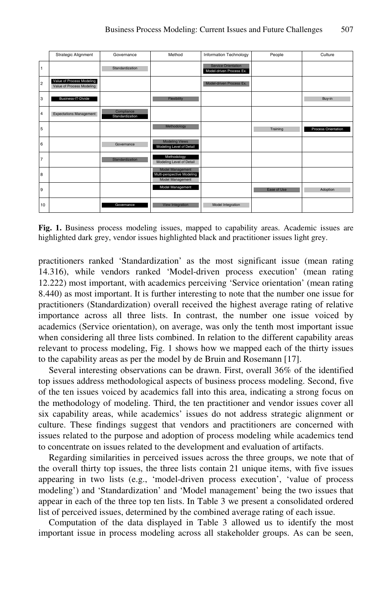|                | Strategic Alignment                                    | Governance                    | Method                                                             | Information Technology                                 | People      | Culture             |
|----------------|--------------------------------------------------------|-------------------------------|--------------------------------------------------------------------|--------------------------------------------------------|-------------|---------------------|
| 1              |                                                        | Standardization               |                                                                    | <b>Service Orientation</b><br>Model-driven Process Ex. |             |                     |
| $\overline{2}$ | Value of Process Modeling<br>Value of Process Modeling |                               |                                                                    | Model-driven Process Ex.                               |             |                     |
| 3              | Business-IT-Divide                                     |                               | Flexibility                                                        |                                                        |             | Buy-in              |
| $\overline{4}$ | <b>Expectations Management</b>                         | Compliance<br>Standardization |                                                                    |                                                        |             |                     |
| 5              |                                                        |                               | Methodology                                                        |                                                        | Training    | Process Orientation |
| 6              |                                                        | Governance                    | <b>Modeling Views</b><br>Modeling Level of Detail                  |                                                        |             |                     |
| $\overline{7}$ |                                                        | Standardization               | Methodology<br>Modeling Level of Detail                            |                                                        |             |                     |
| 8              |                                                        |                               | Model Management<br>Multi-perspective Modeling<br>Model Management |                                                        |             |                     |
| 9              |                                                        |                               | Model Management                                                   |                                                        | Ease of Use | Adoption            |
| 10             |                                                        | Governance                    | View Integration                                                   | Model Integration                                      |             |                     |

**Fig. 1.** Business process modeling issues, mapped to capability areas. Academic issues are highlighted dark grey, vendor issues highlighted black and practitioner issues light grey.

practitioners ranked 'Standardization' as the most significant issue (mean rating 14.316), while vendors ranked 'Model-driven process execution' (mean rating 12.222) most important, with academics perceiving 'Service orientation' (mean rating 8.440) as most important. It is further interesting to note that the number one issue for practitioners (Standardization) overall received the highest average rating of relative importance across all three lists. In contrast, the number one issue voiced by academics (Service orientation), on average, was only the tenth most important issue when considering all three lists combined. In relation to the different capability areas relevant to process modeling, Fig. 1 shows how we mapped each of the thirty issues to the capability areas as per the model by de Bruin and Rosemann [17].

Several interesting observations can be drawn. First, overall 36% of the identified top issues address methodological aspects of business process modeling. Second, five of the ten issues voiced by academics fall into this area, indicating a strong focus on the methodology of modeling. Third, the ten practitioner and vendor issues cover all six capability areas, while academics' issues do not address strategic alignment or culture. These findings suggest that vendors and practitioners are concerned with issues related to the purpose and adoption of process modeling while academics tend to concentrate on issues related to the development and evaluation of artifacts.

Regarding similarities in perceived issues across the three groups, we note that of the overall thirty top issues, the three lists contain 21 unique items, with five issues appearing in two lists (e.g., 'model-driven process execution', 'value of process modeling') and 'Standardization' and 'Model management' being the two issues that appear in each of the three top ten lists. In Table 3 we present a consolidated ordered list of perceived issues, determined by the combined average rating of each issue.

Computation of the data displayed in Table 3 allowed us to identify the most important issue in process modeling across all stakeholder groups. As can be seen,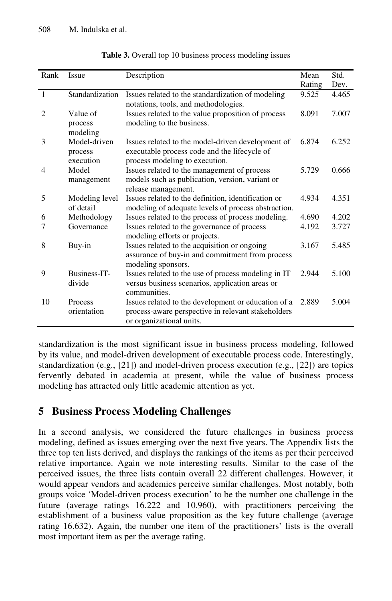| Rank           | Issue           | Description                                         | Mean   | Std.  |
|----------------|-----------------|-----------------------------------------------------|--------|-------|
|                |                 |                                                     | Rating | Dev.  |
| $\mathbf{1}$   | Standardization | Issues related to the standardization of modeling   | 9.525  | 4.465 |
|                |                 | notations, tools, and methodologies.                |        |       |
| $\overline{c}$ | Value of        | Issues related to the value proposition of process  | 8.091  | 7.007 |
|                | process         | modeling to the business.                           |        |       |
|                | modeling        |                                                     |        |       |
| 3              | Model-driven    | Issues related to the model-driven development of   | 6.874  | 6.252 |
|                | process         | executable process code and the lifecycle of        |        |       |
|                | execution       | process modeling to execution.                      |        |       |
| 4              | Model           | Issues related to the management of process         | 5.729  | 0.666 |
|                | management      | models such as publication, version, variant or     |        |       |
|                |                 | release management.                                 |        |       |
| 5              | Modeling level  | Issues related to the definition, identification or | 4.934  | 4.351 |
|                | of detail       | modeling of adequate levels of process abstraction. |        |       |
| 6              | Methodology     | Issues related to the process of process modeling.  | 4.690  | 4.202 |
| 7              | Governance      | Issues related to the governance of process         | 4.192  | 3.727 |
|                |                 | modeling efforts or projects.                       |        |       |
| 8              | Buy-in          | Issues related to the acquisition or ongoing        | 3.167  | 5.485 |
|                |                 | assurance of buy-in and commitment from process     |        |       |
|                |                 | modeling sponsors.                                  |        |       |
| 9              | Business-IT-    | Issues related to the use of process modeling in IT | 2.944  | 5.100 |
|                | divide          | versus business scenarios, application areas or     |        |       |
|                |                 | communities.                                        |        |       |
| 10             | Process         | Issues related to the development or education of a | 2.889  | 5.004 |
|                | orientation     | process-aware perspective in relevant stakeholders  |        |       |
|                |                 | or organizational units.                            |        |       |

standardization is the most significant issue in business process modeling, followed by its value, and model-driven development of executable process code. Interestingly, standardization (e.g.,  $[21]$ ) and model-driven process execution (e.g.,  $[22]$ ) are topics fervently debated in academia at present, while the value of business process modeling has attracted only little academic attention as yet.

## **5 Business Process Modeling Challenges**

In a second analysis, we considered the future challenges in business process modeling, defined as issues emerging over the next five years. The Appendix lists the three top ten lists derived, and displays the rankings of the items as per their perceived relative importance. Again we note interesting results. Similar to the case of the perceived issues, the three lists contain overall 22 different challenges. However, it would appear vendors and academics perceive similar challenges. Most notably, both groups voice 'Model-driven process execution' to be the number one challenge in the future (average ratings 16.222 and 10.960), with practitioners perceiving the establishment of a business value proposition as the key future challenge (average rating 16.632). Again, the number one item of the practitioners' lists is the overall most important item as per the average rating.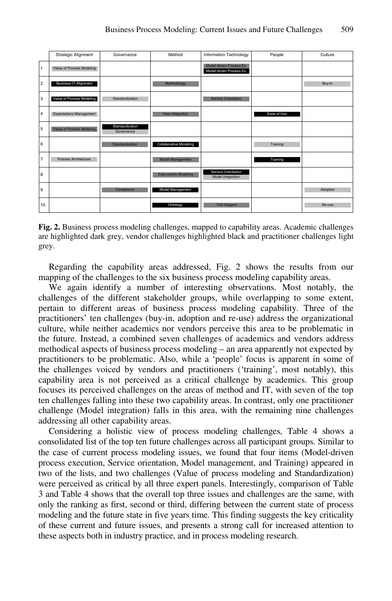

**Fig. 2.** Business process modeling challenges, mapped to capability areas. Academic challenges are highlighted dark grey, vendor challenges highlighted black and practitioner challenges light grey.

Regarding the capability areas addressed, Fig. 2 shows the results from our mapping of the challenges to the six business process modeling capability areas.

We again identify a number of interesting observations. Most notably, the challenges of the different stakeholder groups, while overlapping to some extent, pertain to different areas of business process modeling capability. Three of the practitioners' ten challenges (buy-in, adoption and re-use) address the organizational culture, while neither academics nor vendors perceive this area to be problematic in the future. Instead, a combined seven challenges of academics and vendors address methodical aspects of business process modeling – an area apparently not expected by practitioners to be problematic. Also, while a 'people' focus is apparent in some of the challenges voiced by vendors and practitioners ('training', most notably), this capability area is not perceived as a critical challenge by academics. This group focuses its perceived challenges on the areas of method and IT, with seven of the top ten challenges falling into these two capability areas. In contrast, only one practitioner challenge (Model integration) falls in this area, with the remaining nine challenges addressing all other capability areas.

Considering a holistic view of process modeling challenges, Table 4 shows a consolidated list of the top ten future challenges across all participant groups. Similar to the case of current process modeling issues, we found that four items (Model-driven process execution, Service orientation, Model management, and Training) appeared in two of the lists, and two challenges (Value of process modeling and Standardization) were perceived as critical by all three expert panels. Interestingly, comparison of Table 3 and Table 4 shows that the overall top three issues and challenges are the same, with only the ranking as first, second or third, differing between the current state of process modeling and the future state in five years time. This finding suggests the key criticality of these current and future issues, and presents a strong call for increased attention to these aspects both in industry practice, and in process modeling research.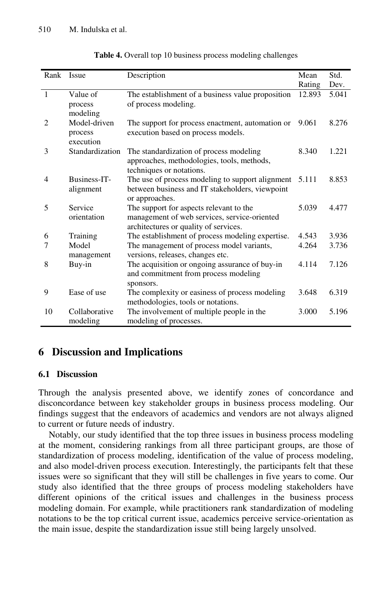| Rank           | Issue                                | Description                                                                                                                      | Mean   | Std.  |
|----------------|--------------------------------------|----------------------------------------------------------------------------------------------------------------------------------|--------|-------|
|                |                                      |                                                                                                                                  | Rating | Dev.  |
| $\overline{1}$ | Value of<br>process<br>modeling      | The establishment of a business value proposition<br>of process modeling.                                                        | 12.893 | 5.041 |
| $\overline{2}$ | Model-driven<br>process<br>execution | The support for process enactment, automation or<br>execution based on process models.                                           | 9.061  | 8.276 |
| 3              | Standardization                      | The standardization of process modeling<br>approaches, methodologies, tools, methods,<br>techniques or notations.                | 8.340  | 1.221 |
| 4              | Business-IT-<br>alignment            | The use of process modeling to support alignment 5.111<br>between business and IT stakeholders, viewpoint<br>or approaches.      |        | 8.853 |
| 5              | Service<br>orientation               | The support for aspects relevant to the<br>management of web services, service-oriented<br>architectures or quality of services. | 5.039  | 4.477 |
| 6              | Training                             | The establishment of process modeling expertise.                                                                                 | 4.543  | 3.936 |
| 7              | Model<br>management                  | The management of process model variants,<br>versions, releases, changes etc.                                                    | 4.264  | 3.736 |
| 8              | Buy-in                               | The acquisition or ongoing assurance of buy-in<br>and commitment from process modeling<br>sponsors.                              | 4.114  | 7.126 |
| 9              | Ease of use                          | The complexity or easiness of process modeling<br>methodologies, tools or notations.                                             | 3.648  | 6.319 |
| 10             | Collaborative<br>modeling            | The involvement of multiple people in the<br>modeling of processes.                                                              | 3.000  | 5.196 |

| Table 4. Overall top 10 business process modeling challenges |  |  |
|--------------------------------------------------------------|--|--|
|--------------------------------------------------------------|--|--|

## **6 Discussion and Implications**

#### **6.1 Discussion**

Through the analysis presented above, we identify zones of concordance and disconcordance between key stakeholder groups in business process modeling. Our findings suggest that the endeavors of academics and vendors are not always aligned to current or future needs of industry.

Notably, our study identified that the top three issues in business process modeling at the moment, considering rankings from all three participant groups, are those of standardization of process modeling, identification of the value of process modeling, and also model-driven process execution. Interestingly, the participants felt that these issues were so significant that they will still be challenges in five years to come. Our study also identified that the three groups of process modeling stakeholders have different opinions of the critical issues and challenges in the business process modeling domain. For example, while practitioners rank standardization of modeling notations to be the top critical current issue, academics perceive service-orientation as the main issue, despite the standardization issue still being largely unsolved.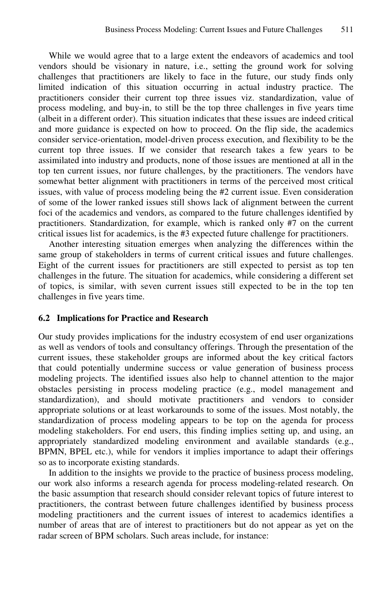While we would agree that to a large extent the endeavors of academics and tool vendors should be visionary in nature, i.e., setting the ground work for solving challenges that practitioners are likely to face in the future, our study finds only limited indication of this situation occurring in actual industry practice. The practitioners consider their current top three issues viz. standardization, value of process modeling, and buy-in, to still be the top three challenges in five years time (albeit in a different order). This situation indicates that these issues are indeed critical and more guidance is expected on how to proceed. On the flip side, the academics consider service-orientation, model-driven process execution, and flexibility to be the current top three issues. If we consider that research takes a few years to be assimilated into industry and products, none of those issues are mentioned at all in the top ten current issues, nor future challenges, by the practitioners. The vendors have somewhat better alignment with practitioners in terms of the perceived most critical issues, with value of process modeling being the #2 current issue. Even consideration of some of the lower ranked issues still shows lack of alignment between the current foci of the academics and vendors, as compared to the future challenges identified by practitioners. Standardization, for example, which is ranked only #7 on the current critical issues list for academics, is the #3 expected future challenge for practitioners.

Another interesting situation emerges when analyzing the differences within the same group of stakeholders in terms of current critical issues and future challenges. Eight of the current issues for practitioners are still expected to persist as top ten challenges in the future. The situation for academics, while considering a different set of topics, is similar, with seven current issues still expected to be in the top ten challenges in five years time.

#### **6.2 Implications for Practice and Research**

Our study provides implications for the industry ecosystem of end user organizations as well as vendors of tools and consultancy offerings. Through the presentation of the current issues, these stakeholder groups are informed about the key critical factors that could potentially undermine success or value generation of business process modeling projects. The identified issues also help to channel attention to the major obstacles persisting in process modeling practice (e.g., model management and standardization), and should motivate practitioners and vendors to consider appropriate solutions or at least workarounds to some of the issues. Most notably, the standardization of process modeling appears to be top on the agenda for process modeling stakeholders. For end users, this finding implies setting up, and using, an appropriately standardized modeling environment and available standards (e.g., BPMN, BPEL etc.), while for vendors it implies importance to adapt their offerings so as to incorporate existing standards.

In addition to the insights we provide to the practice of business process modeling, our work also informs a research agenda for process modeling-related research. On the basic assumption that research should consider relevant topics of future interest to practitioners, the contrast between future challenges identified by business process modeling practitioners and the current issues of interest to academics identifies a number of areas that are of interest to practitioners but do not appear as yet on the radar screen of BPM scholars. Such areas include, for instance: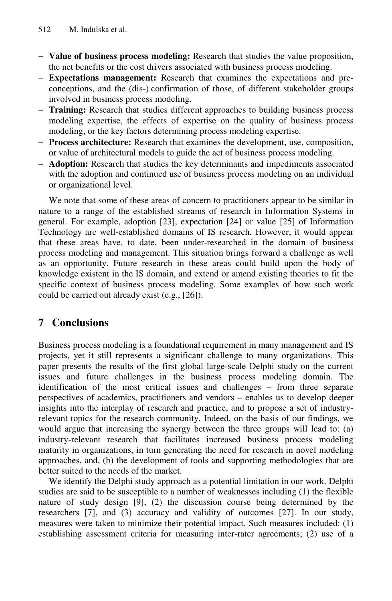- − **Value of business process modeling:** Research that studies the value proposition, the net benefits or the cost drivers associated with business process modeling.
- − **Expectations management:** Research that examines the expectations and preconceptions, and the (dis-) confirmation of those, of different stakeholder groups involved in business process modeling.
- − **Training:** Research that studies different approaches to building business process modeling expertise, the effects of expertise on the quality of business process modeling, or the key factors determining process modeling expertise.
- − **Process architecture:** Research that examines the development, use, composition, or value of architectural models to guide the act of business process modeling.
- − **Adoption:** Research that studies the key determinants and impediments associated with the adoption and continued use of business process modeling on an individual or organizational level.

We note that some of these areas of concern to practitioners appear to be similar in nature to a range of the established streams of research in Information Systems in general. For example, adoption [23], expectation [24] or value [25] of Information Technology are well-established domains of IS research. However, it would appear that these areas have, to date, been under-researched in the domain of business process modeling and management. This situation brings forward a challenge as well as an opportunity. Future research in these areas could build upon the body of knowledge existent in the IS domain, and extend or amend existing theories to fit the specific context of business process modeling. Some examples of how such work could be carried out already exist (e.g., [26]).

## **7 Conclusions**

Business process modeling is a foundational requirement in many management and IS projects, yet it still represents a significant challenge to many organizations. This paper presents the results of the first global large-scale Delphi study on the current issues and future challenges in the business process modeling domain. The identification of the most critical issues and challenges – from three separate perspectives of academics, practitioners and vendors – enables us to develop deeper insights into the interplay of research and practice, and to propose a set of industryrelevant topics for the research community. Indeed, on the basis of our findings, we would argue that increasing the synergy between the three groups will lead to: (a) industry-relevant research that facilitates increased business process modeling maturity in organizations, in turn generating the need for research in novel modeling approaches, and, (b) the development of tools and supporting methodologies that are better suited to the needs of the market.

We identify the Delphi study approach as a potential limitation in our work. Delphi studies are said to be susceptible to a number of weaknesses including (1) the flexible nature of study design [9], (2) the discussion course being determined by the researchers [7], and (3) accuracy and validity of outcomes [27]. In our study, measures were taken to minimize their potential impact. Such measures included: (1) establishing assessment criteria for measuring inter-rater agreements; (2) use of a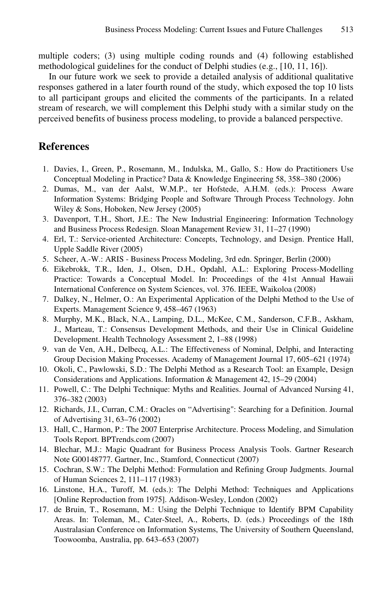multiple coders; (3) using multiple coding rounds and (4) following established methodological guidelines for the conduct of Delphi studies (e.g., [10, 11, 16]).

In our future work we seek to provide a detailed analysis of additional qualitative responses gathered in a later fourth round of the study, which exposed the top 10 lists to all participant groups and elicited the comments of the participants. In a related stream of research, we will complement this Delphi study with a similar study on the perceived benefits of business process modeling, to provide a balanced perspective.

#### **References**

- 1. Davies, I., Green, P., Rosemann, M., Indulska, M., Gallo, S.: How do Practitioners Use Conceptual Modeling in Practice? Data & Knowledge Engineering 58, 358–380 (2006)
- 2. Dumas, M., van der Aalst, W.M.P., ter Hofstede, A.H.M. (eds.): Process Aware Information Systems: Bridging People and Software Through Process Technology. John Wiley & Sons, Hoboken, New Jersey (2005)
- 3. Davenport, T.H., Short, J.E.: The New Industrial Engineering: Information Technology and Business Process Redesign. Sloan Management Review 31, 11–27 (1990)
- 4. Erl, T.: Service-oriented Architecture: Concepts, Technology, and Design. Prentice Hall, Upple Saddle River (2005)
- 5. Scheer, A.-W.: ARIS Business Process Modeling, 3rd edn. Springer, Berlin (2000)
- 6. Eikebrokk, T.R., Iden, J., Olsen, D.H., Opdahl, A.L.: Exploring Process-Modelling Practice: Towards a Conceptual Model. In: Proceedings of the 41st Annual Hawaii International Conference on System Sciences, vol. 376. IEEE, Waikoloa (2008)
- 7. Dalkey, N., Helmer, O.: An Experimental Application of the Delphi Method to the Use of Experts. Management Science 9, 458–467 (1963)
- 8. Murphy, M.K., Black, N.A., Lamping, D.L., McKee, C.M., Sanderson, C.F.B., Askham, J., Marteau, T.: Consensus Development Methods, and their Use in Clinical Guideline Development. Health Technology Assessment 2, 1–88 (1998)
- 9. van de Ven, A.H., Delbecq, A.L.: The Effectiveness of Nominal, Delphi, and Interacting Group Decision Making Processes. Academy of Management Journal 17, 605–621 (1974)
- 10. Okoli, C., Pawlowski, S.D.: The Delphi Method as a Research Tool: an Example, Design Considerations and Applications. Information & Management 42, 15–29 (2004)
- 11. Powell, C.: The Delphi Technique: Myths and Realities. Journal of Advanced Nursing 41, 376–382 (2003)
- 12. Richards, J.I., Curran, C.M.: Oracles on "Advertising": Searching for a Definition. Journal of Advertising 31, 63–76 (2002)
- 13. Hall, C., Harmon, P.: The 2007 Enterprise Architecture. Process Modeling, and Simulation Tools Report. BPTrends.com (2007)
- 14. Blechar, M.J.: Magic Quadrant for Business Process Analysis Tools. Gartner Research Note G00148777. Gartner, Inc., Stamford, Connecticut (2007)
- 15. Cochran, S.W.: The Delphi Method: Formulation and Refining Group Judgments. Journal of Human Sciences 2, 111–117 (1983)
- 16. Linstone, H.A., Turoff, M. (eds.): The Delphi Method: Techniques and Applications [Online Reproduction from 1975]. Addison-Wesley, London (2002)
- 17. de Bruin, T., Rosemann, M.: Using the Delphi Technique to Identify BPM Capability Areas. In: Toleman, M., Cater-Steel, A., Roberts, D. (eds.) Proceedings of the 18th Australasian Conference on Information Systems, The University of Southern Queensland, Toowoomba, Australia, pp. 643–653 (2007)